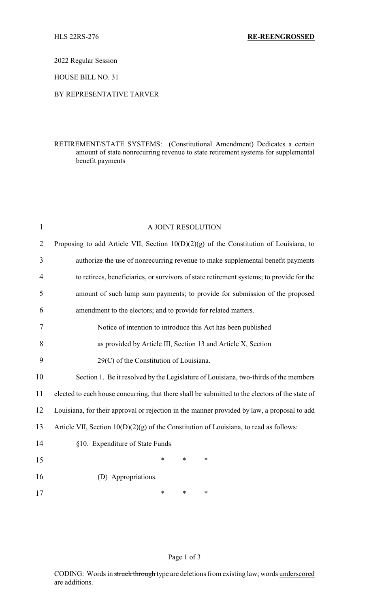2022 Regular Session

HOUSE BILL NO. 31

## BY REPRESENTATIVE TARVER

## RETIREMENT/STATE SYSTEMS: (Constitutional Amendment) Dedicates a certain amount of state nonrecurring revenue to state retirement systems for supplemental benefit payments

| $\mathbf{1}$   | A JOINT RESOLUTION                                                                              |  |  |
|----------------|-------------------------------------------------------------------------------------------------|--|--|
| $\overline{2}$ | Proposing to add Article VII, Section $10(D)(2)(g)$ of the Constitution of Louisiana, to        |  |  |
| 3              | authorize the use of nonrecurring revenue to make supplemental benefit payments                 |  |  |
| 4              | to retirees, beneficiaries, or survivors of state retirement systems; to provide for the        |  |  |
| 5              | amount of such lump sum payments; to provide for submission of the proposed                     |  |  |
| 6              | amendment to the electors; and to provide for related matters.                                  |  |  |
| 7              | Notice of intention to introduce this Act has been published                                    |  |  |
| 8              | as provided by Article III, Section 13 and Article X, Section                                   |  |  |
| 9              | 29(C) of the Constitution of Louisiana.                                                         |  |  |
| 10             | Section 1. Be it resolved by the Legislature of Louisiana, two-thirds of the members            |  |  |
| 11             | elected to each house concurring, that there shall be submitted to the electors of the state of |  |  |
| 12             | Louisiana, for their approval or rejection in the manner provided by law, a proposal to add     |  |  |
| 13             | Article VII, Section $10(D)(2)(g)$ of the Constitution of Louisiana, to read as follows:        |  |  |
| 14             | §10. Expenditure of State Funds                                                                 |  |  |
| 15             | *<br>$\ast$<br>*                                                                                |  |  |
| 16             | (D) Appropriations.                                                                             |  |  |
| 17             | *<br>$\ast$<br>*                                                                                |  |  |

Page 1 of 3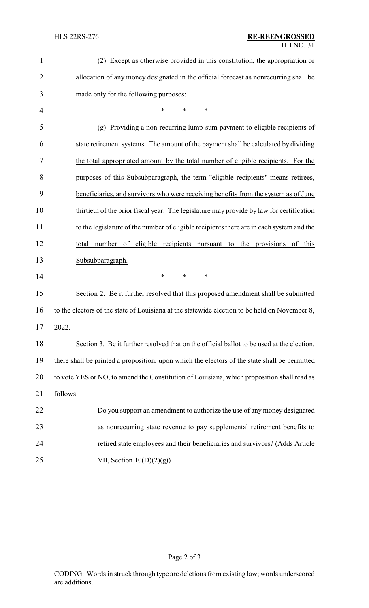| $\mathbf{1}$   | (2) Except as otherwise provided in this constitution, the appropriation or                   |  |  |
|----------------|-----------------------------------------------------------------------------------------------|--|--|
| $\overline{2}$ | allocation of any money designated in the official forecast as nonrecurring shall be          |  |  |
| 3              | made only for the following purposes:                                                         |  |  |
| $\overline{4}$ | *<br>$\ast$<br>$\ast$                                                                         |  |  |
| 5              | Providing a non-recurring lump-sum payment to eligible recipients of<br>(g)                   |  |  |
| 6              | state retirement systems. The amount of the payment shall be calculated by dividing           |  |  |
| 7              | the total appropriated amount by the total number of eligible recipients. For the             |  |  |
| 8              | purposes of this Subsubparagraph, the term "eligible recipients" means retirees,              |  |  |
| 9              | beneficiaries, and survivors who were receiving benefits from the system as of June           |  |  |
| 10             | thirtieth of the prior fiscal year. The legislature may provide by law for certification      |  |  |
| 11             | to the legislature of the number of eligible recipients there are in each system and the      |  |  |
| 12             | number of eligible recipients pursuant to<br>the provisions of this<br>total                  |  |  |
| 13             | Subsubparagraph.                                                                              |  |  |
| 14             | $\ast$<br>*<br>*                                                                              |  |  |
| 15             | Section 2. Be it further resolved that this proposed amendment shall be submitted             |  |  |
| 16             | to the electors of the state of Louisiana at the statewide election to be held on November 8, |  |  |
| 17             | 2022                                                                                          |  |  |
| 18             | Section 3. Be it further resolved that on the official ballot to be used at the election,     |  |  |
| 19             | there shall be printed a proposition, upon which the electors of the state shall be permitted |  |  |
| 20             | to vote YES or NO, to amend the Constitution of Louisiana, which proposition shall read as    |  |  |
| 21             | follows:                                                                                      |  |  |
| 22             | Do you support an amendment to authorize the use of any money designated                      |  |  |
| 23             | as nonrecurring state revenue to pay supplemental retirement benefits to                      |  |  |
| 24             | retired state employees and their beneficiaries and survivors? (Adds Article                  |  |  |
| 25             | VII, Section $10(D)(2)(g)$                                                                    |  |  |